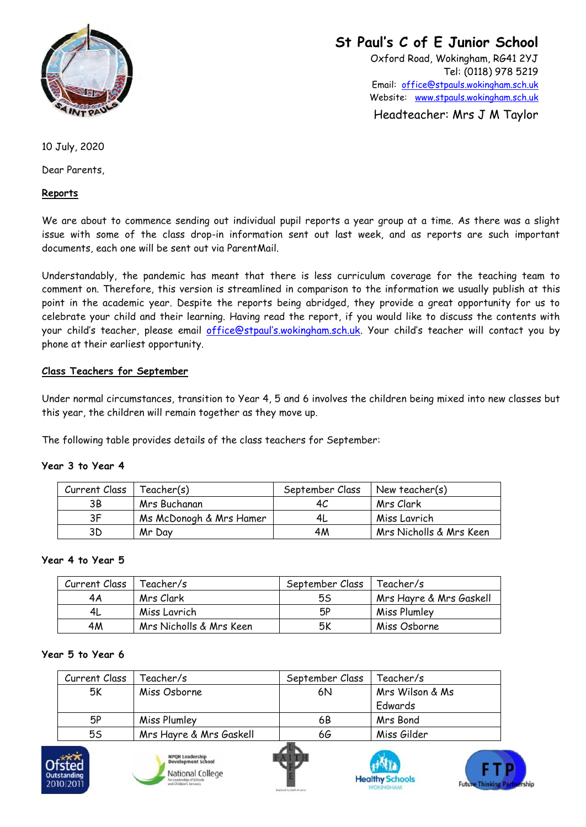

**St Paul's C of E Junior School**

Oxford Road, Wokingham, RG41 2YJ Tel: (0118) 978 5219 Email: [office@stpauls.wokingham.sch.uk](mailto:office@stpauls.berks.sch.uk) Website: [www.stpauls.wokingham.sch.uk](file://///server-02/staff/Admin%20&%20forms%20&%20odds/www.stpauls.wokingham.sch.uk)

Headteacher: Mrs J M Taylor

10 July, 2020

Dear Parents,

## **Reports**

We are about to commence sending out individual pupil reports a year group at a time. As there was a slight issue with some of the class drop-in information sent out last week, and as reports are such important documents, each one will be sent out via ParentMail.

Understandably, the pandemic has meant that there is less curriculum coverage for the teaching team to comment on. Therefore, this version is streamlined in comparison to the information we usually publish at this point in the academic year. Despite the reports being abridged, they provide a great opportunity for us to celebrate your child and their learning. Having read the report, if you would like to discuss the contents with your child's teacher, please email [office@stpaul's.wokingham.sch.uk.](mailto:office@stpaul) Your child's teacher will contact you by phone at their earliest opportunity.

## **Class Teachers for September**

Under normal circumstances, transition to Year 4, 5 and 6 involves the children being mixed into new classes but this year, the children will remain together as they move up.

The following table provides details of the class teachers for September:

#### **Year 3 to Year 4**

| Current Class | (Feacher(s              | September Class | New teacher(s)          |
|---------------|-------------------------|-----------------|-------------------------|
| ЗB            | Mrs Buchanan            | 4C              | Mrs Clark               |
| 3F            | Ms McDonogh & Mrs Hamer | 4L              | Miss Lavrich            |
| 3D            | Mr Dav                  | 4M              | Mrs Nicholls & Mrs Keen |

#### **Year 4 to Year 5**

| Current Class | Feacher/s               | September Class | Teacher/s               |
|---------------|-------------------------|-----------------|-------------------------|
| 4Α            | Mrs Clark               | 5S              | Mrs Hayre & Mrs Gaskell |
| 4L            | Miss Lavrich            | 5P              | Miss Plumley            |
| 4M            | Mrs Nicholls & Mrs Keen | 5Κ              | Miss Osborne            |

## **Year 5 to Year 6**

| Current Class | Teacher/s               | September Class | Feacher/s       |  |
|---------------|-------------------------|-----------------|-----------------|--|
| 5K            | Miss Osborne            | 6N              | Mrs Wilson & Ms |  |
|               |                         |                 | Edwards         |  |
| 5Р            | Miss Plumley            | 6B              | Mrs Bond        |  |
| 55            | Mrs Hayre & Mrs Gaskell | 66              | Miss Gilder     |  |